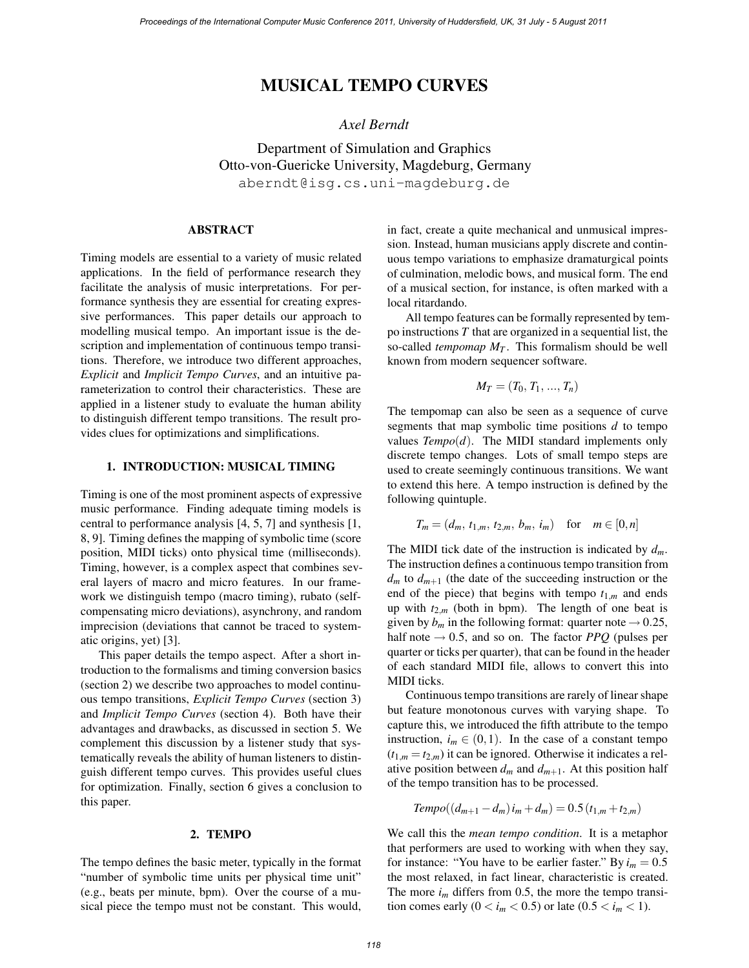# MUSICAL TEMPO CURVES

## *Axel Berndt*

Department of Simulation and Graphics Otto-von-Guericke University, Magdeburg, Germany aberndt@isg.cs.uni-magdeburg.de

## ABSTRACT

Timing models are essential to a variety of music related applications. In the field of performance research they facilitate the analysis of music interpretations. For performance synthesis they are essential for creating expressive performances. This paper details our approach to modelling musical tempo. An important issue is the description and implementation of continuous tempo transitions. Therefore, we introduce two different approaches, *Explicit* and *Implicit Tempo Curves*, and an intuitive parameterization to control their characteristics. These are applied in a listener study to evaluate the human ability to distinguish different tempo transitions. The result provides clues for optimizations and simplifications.

## 1. INTRODUCTION: MUSICAL TIMING

Timing is one of the most prominent aspects of expressive music performance. Finding adequate timing models is central to performance analysis [4, 5, 7] and synthesis [1, 8, 9]. Timing defines the mapping of symbolic time (score position, MIDI ticks) onto physical time (milliseconds). Timing, however, is a complex aspect that combines several layers of macro and micro features. In our framework we distinguish tempo (macro timing), rubato (selfcompensating micro deviations), asynchrony, and random imprecision (deviations that cannot be traced to systematic origins, yet) [3].

This paper details the tempo aspect. After a short introduction to the formalisms and timing conversion basics (section 2) we describe two approaches to model continuous tempo transitions, *Explicit Tempo Curves* (section 3) and *Implicit Tempo Curves* (section 4). Both have their advantages and drawbacks, as discussed in section 5. We complement this discussion by a listener study that systematically reveals the ability of human listeners to distinguish different tempo curves. This provides useful clues for optimization. Finally, section 6 gives a conclusion to this paper.

#### 2. TEMPO

The tempo defines the basic meter, typically in the format "number of symbolic time units per physical time unit" (e.g., beats per minute, bpm). Over the course of a musical piece the tempo must not be constant. This would,

in fact, create a quite mechanical and unmusical impression. Instead, human musicians apply discrete and continuous tempo variations to emphasize dramaturgical points of culmination, melodic bows, and musical form. The end of a musical section, for instance, is often marked with a local ritardando.

All tempo features can be formally represented by tempo instructions *T* that are organized in a sequential list, the so-called *tempomap*  $M_T$ . This formalism should be well known from modern sequencer software.

$$
M_T=(T_0,T_1,\ldots,T_n)
$$

The tempomap can also be seen as a sequence of curve segments that map symbolic time positions *d* to tempo values *Tempo*(*d*). The MIDI standard implements only discrete tempo changes. Lots of small tempo steps are used to create seemingly continuous transitions. We want to extend this here. A tempo instruction is defined by the following quintuple.

$$
T_m = (d_m, t_{1,m}, t_{2,m}, b_m, i_m) \text{ for } m \in [0,n]
$$

The MIDI tick date of the instruction is indicated by *dm*. The instruction defines a continuous tempo transition from  $d_m$  to  $d_{m+1}$  (the date of the succeeding instruction or the end of the piece) that begins with tempo  $t_{1,m}$  and ends up with  $t_{2,m}$  (both in bpm). The length of one beat is given by  $b_m$  in the following format: quarter note  $\rightarrow 0.25$ , half note  $\rightarrow$  0.5, and so on. The factor *PPQ* (pulses per quarter or ticks per quarter), that can be found in the header of each standard MIDI file, allows to convert this into MIDI ticks.

Continuous tempo transitions are rarely of linear shape but feature monotonous curves with varying shape. To capture this, we introduced the fifth attribute to the tempo instruction,  $i_m \in (0,1)$ . In the case of a constant tempo  $(t_{1,m} = t_{2,m})$  it can be ignored. Otherwise it indicates a relative position between  $d_m$  and  $d_{m+1}$ . At this position half of the tempo transition has to be processed.

$$
Tempo((d_{m+1}-d_m)i_m+d_m)=0.5(t_{1,m}+t_{2,m})
$$

We call this the *mean tempo condition*. It is a metaphor that performers are used to working with when they say, for instance: "You have to be earlier faster." By  $i_m = 0.5$ the most relaxed, in fact linear, characteristic is created. The more  $i_m$  differs from 0.5, the more the tempo transition comes early  $(0 < i_m < 0.5)$  or late  $(0.5 < i_m < 1)$ .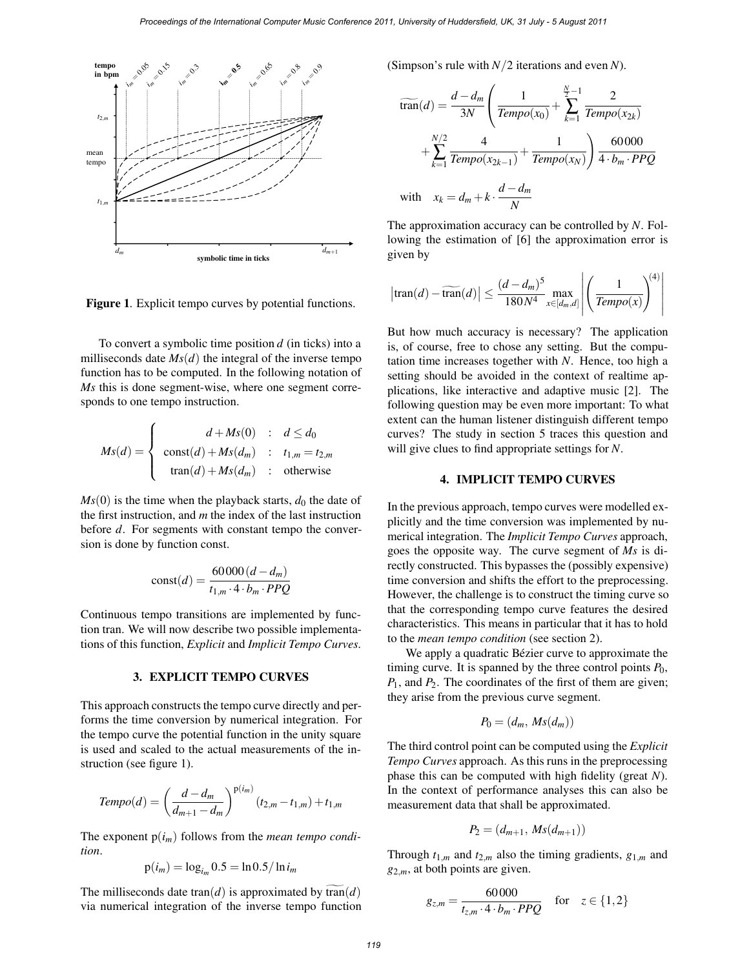

Figure 1. Explicit tempo curves by potential functions.

To convert a symbolic time position *d* (in ticks) into a milliseconds date  $Ms(d)$  the integral of the inverse tempo function has to be computed. In the following notation of *Ms* this is done segment-wise, where one segment corresponds to one tempo instruction.

$$
Ms(d) = \begin{cases} d + Ms(0) & : d \leq d_0 \\ \text{const}(d) + Ms(d_m) & : t_{1,m} = t_{2,m} \\ \text{tran}(d) + Ms(d_m) & : \text{otherwise} \end{cases}
$$

 $Ms(0)$  is the time when the playback starts,  $d_0$  the date of the first instruction, and *m* the index of the last instruction before *d*. For segments with constant tempo the conversion is done by function const.

$$
const(d) = \frac{60000(d - d_m)}{t_{1,m} \cdot 4 \cdot b_m \cdot PPQ}
$$

Continuous tempo transitions are implemented by function tran. We will now describe two possible implementations of this function, *Explicit* and *Implicit Tempo Curves*.

#### 3. EXPLICIT TEMPO CURVES

This approach constructs the tempo curve directly and performs the time conversion by numerical integration. For the tempo curve the potential function in the unity square is used and scaled to the actual measurements of the instruction (see figure 1).

$$
Tempo(d) = \left(\frac{d - d_m}{d_{m+1} - d_m}\right)^{p(i_m)} (t_{2,m} - t_{1,m}) + t_{1,m}
$$

The exponent  $p(i_m)$  follows from the *mean tempo condition*.

$$
p(i_m) = \log_{i_m} 0.5 = \ln 0.5 / \ln i_m
$$

The milliseconds date tran(*d*) is approximated by  $\widetilde{\text{tran}}(d)$ via numerical integration of the inverse tempo function (Simpson's rule with *N/*2 iterations and even *N*).

$$
\widetilde{\text{tran}}(d) = \frac{d - d_m}{3N} \left( \frac{1}{\text{Tempo}(x_0)} + \sum_{k=1}^{\frac{N}{2}-1} \frac{2}{\text{Tempo}(x_{2k})} + \sum_{k=1}^{N/2} \frac{4}{\text{Tempo}(x_{2k-1})} + \frac{1}{\text{Tempo}(x_N)} \right) \frac{60000}{4 \cdot b_m \cdot PPQ}
$$
\n
$$
\text{with} \quad x_k = d_m + k \cdot \frac{d - d_m}{N}
$$

The approximation accuracy can be controlled by *N*. Following the estimation of [6] the approximation error is given by

$$
\left|\tan(d) - \widetilde{\tan}(d)\right| \le \frac{(d - d_m)^5}{180N^4} \max_{x \in [d_m, d]} \left| \left(\frac{1}{Tempo(x)}\right)^{(4)}\right|
$$

But how much accuracy is necessary? The application is, of course, free to chose any setting. But the computation time increases together with *N*. Hence, too high a setting should be avoided in the context of realtime applications, like interactive and adaptive music [2]. The following question may be even more important: To what extent can the human listener distinguish different tempo curves? The study in section 5 traces this question and will give clues to find appropriate settings for *N*.

### 4. IMPLICIT TEMPO CURVES

In the previous approach, tempo curves were modelled explicitly and the time conversion was implemented by numerical integration. The *Implicit Tempo Curves* approach, goes the opposite way. The curve segment of *Ms* is directly constructed. This bypasses the (possibly expensive) time conversion and shifts the effort to the preprocessing. However, the challenge is to construct the timing curve so that the corresponding tempo curve features the desired characteristics. This means in particular that it has to hold to the *mean tempo condition* (see section 2).

We apply a quadratic Bézier curve to approximate the timing curve. It is spanned by the three control points  $P_0$ , *P*<sub>1</sub>, and *P*<sub>2</sub>. The coordinates of the first of them are given; they arise from the previous curve segment.

$$
P_0=(d_m,\,Ms(d_m))
$$

The third control point can be computed using the *Explicit Tempo Curves* approach. As this runs in the preprocessing phase this can be computed with high fidelity (great *N*). In the context of performance analyses this can also be measurement data that shall be approximated.

$$
P_2=(d_{m+1},\,Ms(d_{m+1}))
$$

Through  $t_{1,m}$  and  $t_{2,m}$  also the timing gradients,  $g_{1,m}$  and *g*2*,m*, at both points are given.

$$
g_{z,m} = \frac{60000}{t_{z,m} \cdot 4 \cdot b_m \cdot PPQ} \quad \text{for} \quad z \in \{1,2\}
$$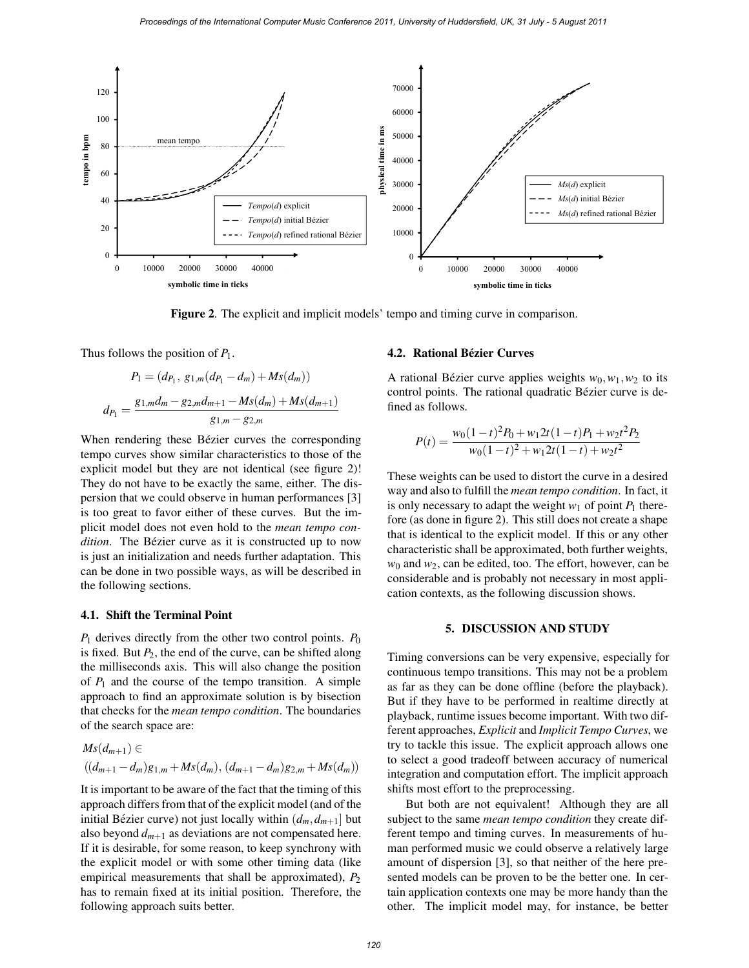

Figure 2. The explicit and implicit models' tempo and timing curve in comparison.

Thus follows the position of *P*1.

$$
P_1 = (d_{P_1}, g_{1,m}(d_{P_1} - d_m) + Ms(d_m))
$$

$$
d_{P_1} = \frac{g_{1,m}d_m - g_{2,m}d_{m+1} - Ms(d_m) + Ms(d_{m+1})}{g_{1,m} - g_{2,m}}
$$

When rendering these Bézier curves the corresponding tempo curves show similar characteristics to those of the explicit model but they are not identical (see figure 2)! They do not have to be exactly the same, either. The dispersion that we could observe in human performances [3] is too great to favor either of these curves. But the implicit model does not even hold to the *mean tempo condition*. The Bézier curve as it is constructed up to now is just an initialization and needs further adaptation. This can be done in two possible ways, as will be described in the following sections.

### 4.1. Shift the Terminal Point

*P*<sup>1</sup> derives directly from the other two control points. *P*<sup>0</sup> is fixed. But  $P_2$ , the end of the curve, can be shifted along the milliseconds axis. This will also change the position of  $P_1$  and the course of the tempo transition. A simple approach to find an approximate solution is by bisection that checks for the *mean tempo condition*. The boundaries of the search space are:

$$
Ms(d_{m+1}) \in
$$
  

$$
((d_{m+1}-d_m)g_{1,m}+Ms(d_m), (d_{m+1}-d_m)g_{2,m}+Ms(d_m))
$$

It is important to be aware of the fact that the timing of this approach differs from that of the explicit model (and of the initial Bézier curve) not just locally within  $(d_m, d_{m+1}]$  but also beyond  $d_{m+1}$  as deviations are not compensated here. If it is desirable, for some reason, to keep synchrony with the explicit model or with some other timing data (like empirical measurements that shall be approximated),  $P_2$ has to remain fixed at its initial position. Therefore, the following approach suits better.

#### 4.2. Rational Bézier Curves

A rational Bézier curve applies weights  $w_0, w_1, w_2$  to its control points. The rational quadratic Bézier curve is defined as follows.

$$
P(t) = \frac{w_0(1-t)^2 P_0 + w_1 2t(1-t)P_1 + w_2 t^2 P_2}{w_0(1-t)^2 + w_1 2t(1-t) + w_2 t^2}
$$

These weights can be used to distort the curve in a desired way and also to fulfill the *mean tempo condition*. In fact, it is only necessary to adapt the weight  $w_1$  of point  $P_1$  therefore (as done in figure 2). This still does not create a shape that is identical to the explicit model. If this or any other characteristic shall be approximated, both further weights, *w*<sup>0</sup> and *w*2, can be edited, too. The effort, however, can be considerable and is probably not necessary in most application contexts, as the following discussion shows.

#### 5. DISCUSSION AND STUDY

Timing conversions can be very expensive, especially for continuous tempo transitions. This may not be a problem as far as they can be done offline (before the playback). But if they have to be performed in realtime directly at playback, runtime issues become important. With two different approaches, *Explicit* and *Implicit Tempo Curves*, we try to tackle this issue. The explicit approach allows one to select a good tradeoff between accuracy of numerical integration and computation effort. The implicit approach shifts most effort to the preprocessing.

But both are not equivalent! Although they are all subject to the same *mean tempo condition* they create different tempo and timing curves. In measurements of human performed music we could observe a relatively large amount of dispersion [3], so that neither of the here presented models can be proven to be the better one. In certain application contexts one may be more handy than the other. The implicit model may, for instance, be better